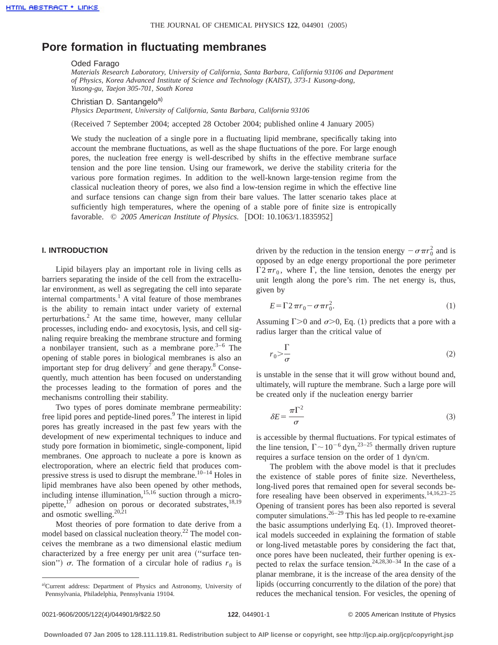# **Pore formation in fluctuating membranes**

#### Oded Farago

*Materials Research Laboratory, University of California, Santa Barbara, California 93106 and Department of Physics, Korea Advanced Institute of Science and Technology (KAIST), 373-1 Kusong-dong, Yusong-gu, Taejon 305-701, South Korea*

Christian D. Santangelo<sup>a)</sup>

*Physics Department, University of California, Santa Barbara, California 93106*

(Received 7 September 2004; accepted 28 October 2004; published online 4 January 2005)

We study the nucleation of a single pore in a fluctuating lipid membrane, specifically taking into account the membrane fluctuations, as well as the shape fluctuations of the pore. For large enough pores, the nucleation free energy is well-described by shifts in the effective membrane surface tension and the pore line tension. Using our framework, we derive the stability criteria for the various pore formation regimes. In addition to the well-known large-tension regime from the classical nucleation theory of pores, we also find a low-tension regime in which the effective line and surface tensions can change sign from their bare values. The latter scenario takes place at sufficiently high temperatures, where the opening of a stable pore of finite size is entropically favorable. © 2005 American Institute of Physics. [DOI: 10.1063/1.1835952]

## **I. INTRODUCTION**

Lipid bilayers play an important role in living cells as barriers separating the inside of the cell from the extracellular environment, as well as segregating the cell into separate internal compartments.<sup>1</sup> A vital feature of those membranes is the ability to remain intact under variety of external perturbations.2 At the same time, however, many cellular processes, including endo- and exocytosis, lysis, and cell signaling require breaking the membrane structure and forming a nonbilayer transient, such as a membrane pore.<sup>3–6</sup> The opening of stable pores in biological membranes is also an important step for drug delivery<sup>7</sup> and gene therapy. $8$  Consequently, much attention has been focused on understanding the processes leading to the formation of pores and the mechanisms controlling their stability.

Two types of pores dominate membrane permeability: free lipid pores and peptide-lined pores.<sup>9</sup> The interest in lipid pores has greatly increased in the past few years with the development of new experimental techniques to induce and study pore formation in biomimetic, single-component, lipid membranes. One approach to nucleate a pore is known as electroporation, where an electric field that produces compressive stress is used to disrupt the membrane. $10-14$  Holes in lipid membranes have also been opened by other methods, including intense illumination, $15,16$  suction through a micropipette, $1^7$  adhesion on porous or decorated substrates,  $18,19$ and osmotic swelling. $20,21$ 

Most theories of pore formation to date derive from a model based on classical nucleation theory.<sup>22</sup> The model conceives the membrane as a two dimensional elastic medium characterized by a free energy per unit area ("surface tension'')  $\sigma$ . The formation of a circular hole of radius  $r_0$  is

driven by the reduction in the tension energy  $-\sigma \pi r_0^2$  and is opposed by an edge energy proportional the pore perimeter  $\Gamma 2\pi r_0$ , where  $\Gamma$ , the line tension, denotes the energy per unit length along the pore's rim. The net energy is, thus, given by

$$
E = \Gamma 2 \pi r_0 - \sigma \pi r_0^2. \tag{1}
$$

Assuming  $\Gamma > 0$  and  $\sigma > 0$ , Eq. (1) predicts that a pore with a radius larger than the critical value of

$$
r_0 > \frac{\Gamma}{\sigma} \tag{2}
$$

is unstable in the sense that it will grow without bound and, ultimately, will rupture the membrane. Such a large pore will be created only if the nucleation energy barrier

$$
\delta E = \frac{\pi \Gamma^2}{\sigma} \tag{3}
$$

is accessible by thermal fluctuations. For typical estimates of the line tension,  $\Gamma \sim 10^{-6}$  dyn,<sup>23–25</sup> thermally driven rupture requires a surface tension on the order of 1 dyn/cm.

The problem with the above model is that it precludes the existence of stable pores of finite size. Nevertheless, long-lived pores that remained open for several seconds before resealing have been observed in experiments.<sup>14,16,23-25</sup> Opening of transient pores has been also reported is several computer simulations.26–29 This has led people to re-examine the basic assumptions underlying Eq.  $(1)$ . Improved theoretical models succeeded in explaining the formation of stable or long-lived metastable pores by considering the fact that, once pores have been nucleated, their further opening is expected to relax the surface tension.<sup>24,28,30–34</sup> In the case of a planar membrane, it is the increase of the area density of the lipids (occurring concurrently to the dilation of the pore) that reduces the mechanical tension. For vesicles, the opening of

a)Current address: Department of Physics and Astronomy, University of Pennsylvania, Philadelphia, Pennsylvania 19104.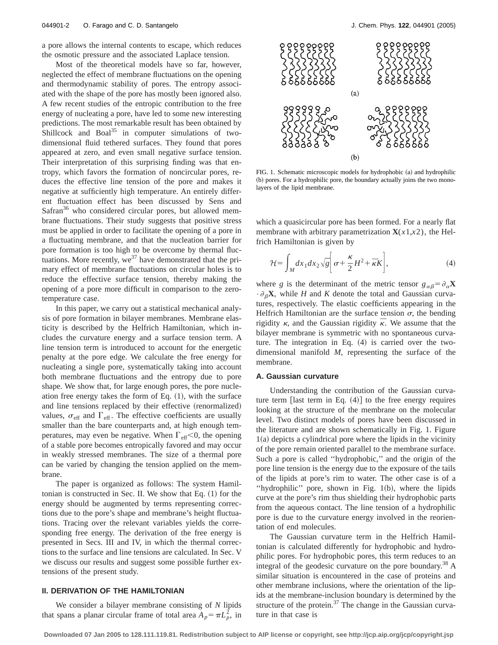a pore allows the internal contents to escape, which reduces the osmotic pressure and the associated Laplace tension.

Most of the theoretical models have so far, however, neglected the effect of membrane fluctuations on the opening and thermodynamic stability of pores. The entropy associated with the shape of the pore has mostly been ignored also. A few recent studies of the entropic contribution to the free energy of nucleating a pore, have led to some new interesting predictions. The most remarkable result has been obtained by Shillcock and Boal $35$  in computer simulations of twodimensional fluid tethered surfaces. They found that pores appeared at zero, and even small negative surface tension. Their interpretation of this surprising finding was that entropy, which favors the formation of noncircular pores, reduces the effective line tension of the pore and makes it negative at sufficiently high temperature. An entirely different fluctuation effect has been discussed by Sens and Safran<sup>36</sup> who considered circular pores, but allowed membrane fluctuations. Their study suggests that positive stress must be applied in order to facilitate the opening of a pore in a fluctuating membrane, and that the nucleation barrier for pore formation is too high to be overcome by thermal fluctuations. More recently,  $we^{37}$  have demonstrated that the primary effect of membrane fluctuations on circular holes is to reduce the effective surface tension, thereby making the opening of a pore more difficult in comparison to the zerotemperature case.

In this paper, we carry out a statistical mechanical analysis of pore formation in bilayer membranes. Membrane elasticity is described by the Helfrich Hamiltonian, which includes the curvature energy and a surface tension term. A line tension term is introduced to account for the energetic penalty at the pore edge. We calculate the free energy for nucleating a single pore, systematically taking into account both membrane fluctuations and the entropy due to pore shape. We show that, for large enough pores, the pore nucleation free energy takes the form of Eq.  $(1)$ , with the surface and line tensions replaced by their effective (renormalized) values,  $\sigma_{\text{eff}}$  and  $\Gamma_{\text{eff}}$ . The effective coefficients are usually smaller than the bare counterparts and, at high enough temperatures, may even be negative. When  $\Gamma_{\text{eff}}$  < 0, the opening of a stable pore becomes entropically favored and may occur in weakly stressed membranes. The size of a thermal pore can be varied by changing the tension applied on the membrane.

The paper is organized as follows: The system Hamiltonian is constructed in Sec. II. We show that Eq.  $(1)$  for the energy should be augmented by terms representing corrections due to the pore's shape and membrane's height fluctuations. Tracing over the relevant variables yields the corresponding free energy. The derivation of the free energy is presented in Secs. III and IV, in which the thermal corrections to the surface and line tensions are calculated. In Sec. V we discuss our results and suggest some possible further extensions of the present study.

## **II. DERIVATION OF THE HAMILTONIAN**

We consider a bilayer membrane consisting of *N* lipids that spans a planar circular frame of total area  $A_p = \pi L_p^2$ , in



FIG. 1. Schematic microscopic models for hydrophobic (a) and hydrophilic (b) pores. For a hydrophilic pore, the boundary actually joins the two monolayers of the lipid membrane.

which a quasicircular pore has been formed. For a nearly flat membrane with arbitrary parametrization  $X(x1,x2)$ , the Helfrich Hamiltonian is given by

$$
\mathcal{H} = \int_M dx_1 dx_2 \sqrt{g} \bigg[ \sigma + \frac{\kappa}{2} H^2 + \overline{\kappa} K \bigg],\tag{4}
$$

where *g* is the determinant of the metric tensor  $g_{\alpha\beta} = \partial_{\alpha}X$  $\cdot \partial_{\beta}X$ , while *H* and *K* denote the total and Gaussian curvatures, respectively. The elastic coefficients appearing in the Helfrich Hamiltonian are the surface tension  $\sigma$ , the bending rigidity  $\kappa$ , and the Gaussian rigidity  $\bar{\kappa}$ . We assume that the bilayer membrane is symmetric with no spontaneous curvature. The integration in Eq.  $(4)$  is carried over the twodimensional manifold *M*, representing the surface of the membrane.

### **A. Gaussian curvature**

Understanding the contribution of the Gaussian curvature term [last term in Eq.  $(4)$ ] to the free energy requires looking at the structure of the membrane on the molecular level. Two distinct models of pores have been discussed in the literature and are shown schematically in Fig. 1. Figure  $1(a)$  depicts a cylindrical pore where the lipids in the vicinity of the pore remain oriented parallel to the membrane surface. Such a pore is called ''hydrophobic,'' and the origin of the pore line tension is the energy due to the exposure of the tails of the lipids at pore's rim to water. The other case is of a "hydrophilic" pore, shown in Fig.  $1(b)$ , where the lipids curve at the pore's rim thus shielding their hydrophobic parts from the aqueous contact. The line tension of a hydrophilic pore is due to the curvature energy involved in the reorientation of end molecules.

The Gaussian curvature term in the Helfrich Hamiltonian is calculated differently for hydrophobic and hydrophilic pores. For hydrophobic pores, this term reduces to an integral of the geodesic curvature on the pore boundary.<sup>38</sup> A similar situation is encountered in the case of proteins and other membrane inclusions, where the orientation of the lipids at the membrane-inclusion boundary is determined by the structure of the protein. $37$  The change in the Gaussian curvature in that case is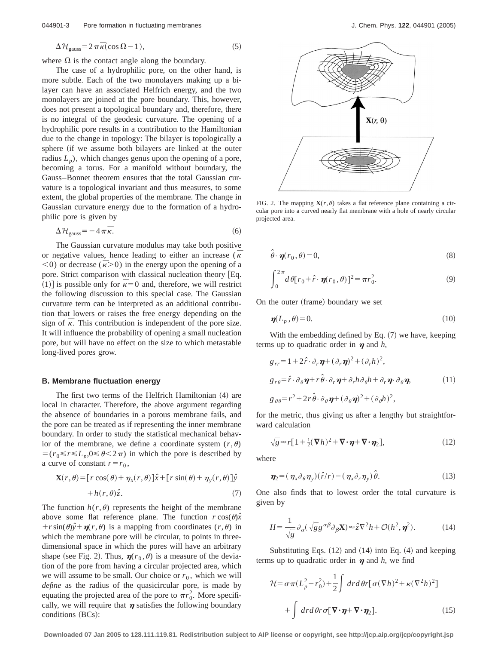$$
\Delta \mathcal{H}_{\text{gauss}} = 2 \pi \bar{\kappa} (\cos \Omega - 1),\tag{5}
$$

where  $\Omega$  is the contact angle along the boundary.

The case of a hydrophilic pore, on the other hand, is more subtle. Each of the two monolayers making up a bilayer can have an associated Helfrich energy, and the two monolayers are joined at the pore boundary. This, however, does not present a topological boundary and, therefore, there is no integral of the geodesic curvature. The opening of a hydrophilic pore results in a contribution to the Hamiltonian due to the change in topology: The bilayer is topologically a sphere (if we assume both bilayers are linked at the outer radius  $L_p$ ), which changes genus upon the opening of a pore, becoming a torus. For a manifold without boundary, the Gauss–Bonnet theorem ensures that the total Gaussian curvature is a topological invariant and thus measures, to some extent, the global properties of the membrane. The change in Gaussian curvature energy due to the formation of a hydrophilic pore is given by

$$
\Delta \mathcal{H}_{\text{gauss}} = -4\,\pi\,\bar{\kappa}.\tag{6}
$$

The Gaussian curvature modulus may take both positive or negative values, hence leading to either an increase  $(\bar{\kappa})$  $(6)$  or decrease ( $\bar{k}$ >0) in the energy upon the opening of a pore. Strict comparison with classical nucleation theory  $Eq.$  $^{11}$  is possible only for  $\bar{k}=0$  and, therefore, we will restrict  $^{11}$ the following discussion to this special case. The Gaussian curvature term can be interpreted as an additional contribution that lowers or raises the free energy depending on the sign of  $\bar{\kappa}$ . This contribution is independent of the pore size. It will influence the probability of opening a small nucleation pore, but will have no effect on the size to which metastable long-lived pores grow.

## **B. Membrane fluctuation energy**

The first two terms of the Helfrich Hamiltonian  $(4)$  are local in character. Therefore, the above argument regarding the absence of boundaries in a porous membrane fails, and the pore can be treated as if representing the inner membrane boundary. In order to study the statistical mechanical behavior of the membrane, we define a coordinate system  $(r, \theta)$  $=(r_0 \le r \le L_n, 0 \le \theta \le 2\pi)$  in which the pore is described by a curve of constant  $r=r_0$ ,

$$
\mathbf{X}(r,\theta) = [r\cos(\theta) + \eta_x(r,\theta)]\hat{x} + [r\sin(\theta) + \eta_y(r,\theta)]\hat{y}
$$
  
+  $h(r,\theta)\hat{z}$ . (7)

The function  $h(r, \theta)$  represents the height of the membrane above some flat reference plane. The function  $r \cos(\theta) \hat{x}$  $+r\sin(\theta)\hat{y}+\eta(r,\theta)$  is a mapping from coordinates  $(r,\theta)$  in which the membrane pore will be circular, to points in threedimensional space in which the pores will have an arbitrary shape (see Fig. 2). Thus,  $\eta(r_0, \theta)$  is a measure of the deviation of the pore from having a circular projected area, which we will assume to be small. Our choice or  $r_0$ , which we will *define* as the radius of the quasicircular pore, is made by equating the projected area of the pore to  $\pi r_0^2$ . More specifically, we will require that  $\eta$  satisfies the following boundary conditions (BCs):



FIG. 2. The mapping  $\mathbf{X}(r,\theta)$  takes a flat reference plane containing a circular pore into a curved nearly flat membrane with a hole of nearly circular projected area.

$$
\hat{\theta} \cdot \boldsymbol{\eta}(\boldsymbol{r}_0, \theta) = 0,\tag{8}
$$

$$
\int_0^{2\pi} d\theta [r_0 + \hat{r} \cdot \pmb{\eta}(r_0, \theta)]^2 = \pi r_0^2.
$$
 (9)

On the outer (frame) boundary we set

$$
\eta(L_p, \theta) = 0. \tag{10}
$$

With the embedding defined by Eq.  $(7)$  we have, keeping terms up to quadratic order in  $\eta$  and  $h$ ,

$$
g_{rr} = 1 + 2\hat{r} \cdot \partial_r \boldsymbol{\eta} + (\partial_r \boldsymbol{\eta})^2 + (\partial_r h)^2,
$$
  
\n
$$
g_{r\theta} = \hat{r} \cdot \partial_\theta \boldsymbol{\eta} + r \hat{\theta} \cdot \partial_r \boldsymbol{\eta} + \partial_r h \partial_\theta h + \partial_r \boldsymbol{\eta} \cdot \partial_\theta \boldsymbol{\eta},
$$
\n(11)  
\n
$$
g_{\theta\theta} = r^2 + 2r \hat{\theta} \cdot \partial_\theta \boldsymbol{\eta} + (\partial_\theta \boldsymbol{\eta})^2 + (\partial_\theta h)^2,
$$

for the metric, thus giving us after a lengthy but straightforward calculation

$$
\sqrt{g} \approx r[1 + \frac{1}{2}(\nabla h)^2 + \nabla \cdot \pmb{\eta} + \nabla \cdot \pmb{\eta}_2],
$$
\n(12)

where

$$
\eta_2 = (\eta_x \partial_\theta \eta_y)(\hat{r}/r) - (\eta_x \partial_r \eta_y)\hat{\theta}.
$$
 (13)

One also finds that to lowest order the total curvature is given by

$$
H = \frac{1}{\sqrt{g}} \partial_{\alpha} (\sqrt{g} g^{\alpha \beta} \partial_{\beta} \mathbf{X}) \approx \hat{z} \nabla^2 h + \mathcal{O}(h^2, \eta^2). \tag{14}
$$

Substituting Eqs.  $(12)$  and  $(14)$  into Eq.  $(4)$  and keeping terms up to quadratic order in  $\eta$  and *h*, we find

$$
\mathcal{H} = \sigma \pi (L_p^2 - r_0^2) + \frac{1}{2} \int dr d\theta r [\sigma (\nabla h)^2 + \kappa (\nabla^2 h)^2]
$$

$$
+ \int dr d\theta r \sigma [\nabla \cdot \pmb{\eta} + \nabla \cdot \pmb{\eta}_2]. \tag{15}
$$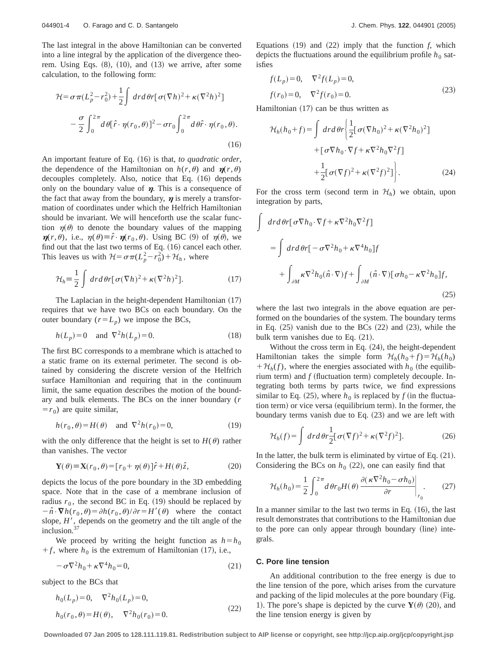The last integral in the above Hamiltonian can be converted into a line integral by the application of the divergence theorem. Using Eqs.  $(8)$ ,  $(10)$ , and  $(13)$  we arrive, after some calculation, to the following form:

$$
\mathcal{H} = \sigma \pi (L_p^2 - r_0^2) + \frac{1}{2} \int dr d\theta r [\sigma (\nabla h)^2 + \kappa (\nabla^2 h)^2]
$$

$$
- \frac{\sigma}{2} \int_0^{2\pi} d\theta [\hat{r} \cdot \eta(r_0, \theta)]^2 - \sigma r_0 \int_0^{2\pi} d\theta \hat{r} \cdot \eta(r_0, \theta). \tag{16}
$$

An important feature of Eq. (16) is that, *to quadratic order*, the dependence of the Hamiltonian on  $h(r, \theta)$  and  $\eta(r, \theta)$ decouples completely. Also, notice that Eq. (16) depends only on the boundary value of  $\eta$ . This is a consequence of the fact that away from the boundary,  $\eta$  is merely a transformation of coordinates under which the Helfrich Hamiltonian should be invariant. We will henceforth use the scalar function  $\eta(\theta)$  to denote the boundary values of the mapping  $\eta(r,\theta)$ , i.e.,  $\eta(\theta) \equiv \hat{r} \cdot \eta(r_0,\theta)$ . Using BC (9) of  $\eta(\theta)$ , we find out that the last two terms of Eq.  $(16)$  cancel each other. This leaves us with  $\mathcal{H} = \sigma \pi (L_p^2 - r_0^2) + \mathcal{H}_h$ , where

$$
\mathcal{H}_h \equiv \frac{1}{2} \int dr d\theta r [\sigma(\nabla h)^2 + \kappa (\nabla^2 h)^2]. \tag{17}
$$

The Laplacian in the height-dependent Hamiltonian  $(17)$ requires that we have two BCs on each boundary. On the outer boundary  $(r=L_p)$  we impose the BCs,

$$
h(L_p) = 0 \quad \text{and} \quad \nabla^2 h(L_p) = 0. \tag{18}
$$

The first BC corresponds to a membrane which is attached to a static frame on its external perimeter. The second is obtained by considering the discrete version of the Helfrich surface Hamiltonian and requiring that in the continuum limit, the same equation describes the motion of the boundary and bulk elements. The BCs on the inner boundary (*r*  $=r_0$ ) are quite similar,

$$
h(r_0, \theta) = H(\theta) \quad \text{and} \quad \nabla^2 h(r_0) = 0,\tag{19}
$$

with the only difference that the height is set to  $H(\theta)$  rather than vanishes. The vector

$$
\mathbf{Y}(\theta) \equiv \mathbf{X}(r_0, \theta) = [r_0 + \eta(\theta)]\hat{r} + H(\theta)\hat{z},\tag{20}
$$

depicts the locus of the pore boundary in the 3D embedding space. Note that in the case of a membrane inclusion of radius  $r_0$ , the second BC in Eq. (19) should be replaced by  $-\hat{n} \cdot \nabla h(r_0, \theta) = \partial h(r_0, \theta)/\partial r = H'(\theta)$  where the contact slope,  $H'$ , depends on the geometry and the tilt angle of the inclusion.<sup>37</sup>

We proceed by writing the height function as  $h=h_0$  $f$ , where  $h_0$  is the extremum of Hamiltonian (17), i.e.,

$$
-\sigma \nabla^2 h_0 + \kappa \nabla^4 h_0 = 0,\tag{21}
$$

subject to the BCs that

$$
h_0(L_p) = 0, \quad \nabla^2 h_0(L_p) = 0,
$$
  
\n
$$
h_0(r_0, \theta) = H(\theta), \quad \nabla^2 h_0(r_0) = 0.
$$
\n(22)

Equations  $(19)$  and  $(22)$  imply that the function *f*, which depicts the fluctuations around the equilibrium profile  $h_0$  satisfies

$$
f(L_p) = 0, \quad \nabla^2 f(L_p) = 0,
$$
  
\n
$$
f(r_0) = 0, \quad \nabla^2 f(r_0) = 0.
$$
\n(23)

Hamiltonian  $(17)$  can be thus written as

$$
\mathcal{H}_h(h_0 + f) = \int dr d\theta r \left\{ \frac{1}{2} [\sigma (\nabla h_0)^2 + \kappa (\nabla^2 h_0)^2] + [\sigma \nabla h_0 \cdot \nabla f + \kappa \nabla^2 h_0 \nabla^2 f] + \frac{1}{2} [\sigma (\nabla f)^2 + \kappa (\nabla^2 f)^2] \right\}.
$$
\n(24)

For the cross term (second term in  $\mathcal{H}_h$ ) we obtain, upon integration by parts,

$$
\int d\mathbf{r} d\theta \mathbf{r} [\sigma \nabla h_0 \cdot \nabla f + \kappa \nabla^2 h_0 \nabla^2 f]
$$
\n
$$
= \int d\mathbf{r} d\theta \mathbf{r} [-\sigma \nabla^2 h_0 + \kappa \nabla^4 h_0] f
$$
\n
$$
+ \int_{\partial M} \kappa \nabla^2 h_0(\hat{n} \cdot \nabla) f + \int_{\partial M} (\hat{n} \cdot \nabla) [\sigma h_0 - \kappa \nabla^2 h_0] f,
$$
\n(25)

where the last two integrals in the above equation are performed on the boundaries of the system. The boundary terms in Eq.  $(25)$  vanish due to the BCs  $(22)$  and  $(23)$ , while the bulk term vanishes due to Eq.  $(21)$ .

Without the cross term in Eq.  $(24)$ , the height-dependent Hamiltonian takes the simple form  $\mathcal{H}_h(h_0+f) = \mathcal{H}_h(h_0)$  $+H_h(f)$ , where the energies associated with  $h_0$  (the equilibrium term) and  $f$  (fluctuation term) completely decouple. Integrating both terms by parts twice, we find expressions similar to Eq. (25), where  $h_0$  is replaced by  $f$  (in the fluctuation term) or vice versa (equilibrium term). In the former, the boundary terms vanish due to Eq.  $(23)$  and we are left with

$$
\mathcal{H}_h(f) = \int dr d\theta r \frac{1}{2} [\sigma(\nabla f)^2 + \kappa(\nabla^2 f)^2].
$$
 (26)

In the latter, the bulk term is eliminated by virtue of Eq.  $(21)$ . Considering the BCs on  $h_0$  (22), one can easily find that

$$
\mathcal{H}_h(h_0) = \frac{1}{2} \int_0^{2\pi} d\theta r_0 H(\theta) \left. \frac{\partial (\kappa \nabla^2 h_0 - \sigma h_0)}{\partial r} \right|_{r_0}.
$$
 (27)

In a manner similar to the last two terms in Eq.  $(16)$ , the last result demonstrates that contributions to the Hamiltonian due to the pore can only appear through boundary (line) integrals.

#### **C. Pore line tension**

An additional contribution to the free energy is due to the line tension of the pore, which arises from the curvature and packing of the lipid molecules at the pore boundary (Fig. 1). The pore's shape is depicted by the curve  $\mathbf{Y}(\theta)$  (20), and the line tension energy is given by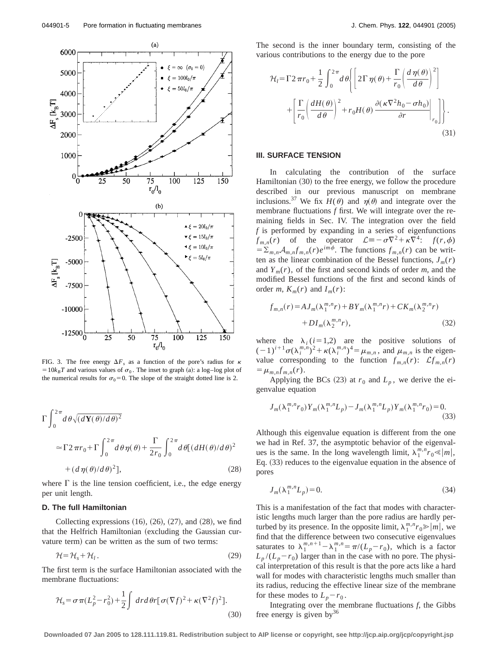

FIG. 3. The free energy  $\Delta F_s$  as a function of the pore's radius for  $\kappa$  $=10k_BT$  and various values of  $\sigma_0$ . The inset to graph (a): a log–log plot of the numerical results for  $\sigma_0=0$ . The slope of the straight dotted line is 2.

$$
\Gamma \int_0^{2\pi} d\theta \sqrt{(d\mathbf{Y}(\theta)/d\theta)^2}
$$
  
\n
$$
\approx \Gamma 2\pi r_0 + \Gamma \int_0^{2\pi} d\theta \eta(\theta) + \frac{\Gamma}{2r_0} \int_0^{2\pi} d\theta [(dH(\theta)/d\theta)^2 + (d\eta(\theta)/d\theta)^2],
$$
\n(28)

where  $\Gamma$  is the line tension coefficient, i.e., the edge energy per unit length.

#### **D. The full Hamiltonian**

Collecting expressions  $(16)$ ,  $(26)$ ,  $(27)$ , and  $(28)$ , we find that the Helfrich Hamiltonian (excluding the Gaussian curvature term) can be written as the sum of two terms:

$$
\mathcal{H} = \mathcal{H}_s + \mathcal{H}_l. \tag{29}
$$

The first term is the surface Hamiltonian associated with the membrane fluctuations:

$$
\mathcal{H}_s = \sigma \pi (L_p^2 - r_0^2) + \frac{1}{2} \int dr d\theta r [\sigma (\nabla f)^2 + \kappa (\nabla^2 f)^2].
$$
\n(30)

The second is the inner boundary term, consisting of the various contributions to the energy due to the pore

$$
\mathcal{H}_{l} = \Gamma 2 \pi r_{0} + \frac{1}{2} \int_{0}^{2\pi} d\theta \left\{ \left[ 2\Gamma \eta(\theta) + \frac{\Gamma}{r_{0}} \left( \frac{d\eta(\theta)}{d\theta} \right)^{2} \right] + \left[ \frac{\Gamma}{r_{0}} \left( \frac{dH(\theta)}{d\theta} \right)^{2} + r_{0} H(\theta) \frac{\partial (\kappa \nabla^{2} h_{0} - \sigma h_{0})}{\partial r} \Big|_{r_{0}} \right] \right\}.
$$
\n(31)

#### **III. SURFACE TENSION**

In calculating the contribution of the surface Hamiltonian  $(30)$  to the free energy, we follow the procedure described in our previous manuscript on membrane inclusions.<sup>37</sup> We fix  $H(\theta)$  and  $\eta(\theta)$  and integrate over the membrane fluctuations *f* first. We will integrate over the remaining fields in Sec. IV. The integration over the field *f* is performed by expanding in a series of eigenfunctions  $f_{m,n}(r)$  of the operator  $\mathcal{L}\equiv -\sigma \nabla^2 + \kappa \nabla^4$ :  $f(r,\phi)$  $= \sum_{m,n} A_{m,n} f_{m,n}(r) e^{im\phi}$ . The functions  $f_{m,n}(r)$  can be written as the linear combination of the Bessel functions,  $J_m(r)$ and  $Y_m(r)$ , of the first and second kinds of order *m*, and the modified Bessel functions of the first and second kinds of order *m*,  $K_m(r)$  and  $I_m(r)$ :

$$
f_{m,n}(r) = AJ_m(\lambda_1^{m,n}r) + BY_m(\lambda_1^{m,n}r) + CK_m(\lambda_2^{m,n}r) + DI_m(\lambda_2^{m,n}r),
$$
 (32)

where the  $\lambda_i$  ( $i=1,2$ ) are the positive solutions of  $(-1)^{i+1}\sigma(\lambda_i^{m,n})^2 + \kappa(\lambda_i^{m,n})^4 = \mu_{m,n}$ , and  $\mu_{m,n}$  is the eigenvalue corresponding to the function  $f_{m,n}(r)$ :  $\mathcal{L}f_{m,n}(r)$  $=$   $\mu_{m,n} f_{m,n}(r)$ .

Applying the BCs (23) at  $r_0$  and  $L_p$ , we derive the eigenvalue equation

$$
J_m(\lambda_1^{m,n}r_0)Y_m(\lambda_1^{m,n}L_p) - J_m(\lambda_1^{m,n}L_p)Y_m(\lambda_1^{m,n}r_0) = 0.
$$
\n(33)

Although this eigenvalue equation is different from the one we had in Ref. 37, the asymptotic behavior of the eigenvalues is the same. In the long wavelength limit,  $\lambda_1^{m,n} r_0 \ll |m|$ , Eq.  $(33)$  reduces to the eigenvalue equation in the absence of pores

$$
J_m(\lambda_1^{m,n}L_p) = 0.
$$
\n<sup>(34)</sup>

This is a manifestation of the fact that modes with characteristic lengths much larger than the pore radius are hardly perturbed by its presence. In the opposite limit,  $\lambda_1^{m,n} r_0 \gg |m|$ , we find that the difference between two consecutive eigenvalues saturates to  $\lambda_1^{m,n+1} - \lambda_1^{m,n} = \pi/(L_p - r_0)$ , which is a factor  $L_p/(L_p-r_0)$  larger than in the case with no pore. The physical interpretation of this result is that the pore acts like a hard wall for modes with characteristic lengths much smaller than its radius, reducing the effective linear size of the membrane for these modes to  $L_p - r_0$ .

Integrating over the membrane fluctuations  $f$ , the Gibbs free energy is given  $by^{36}$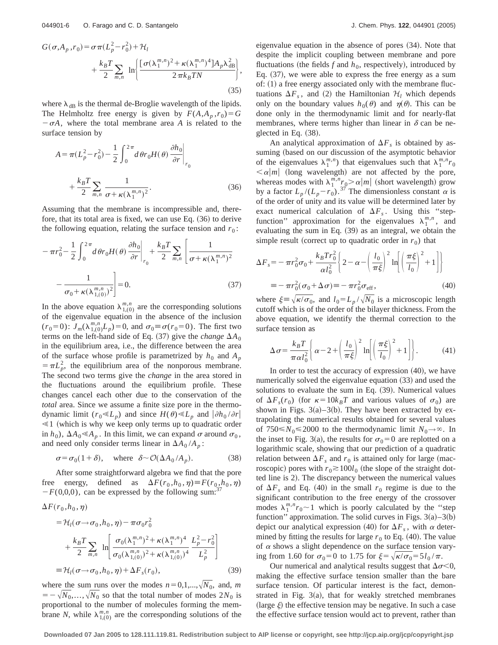$$
G(\sigma, A_p, r_0) = \sigma \pi (L_p^2 - r_0^2) + \mathcal{H}_l
$$
  
+ 
$$
\frac{k_B T}{2} \sum_{m,n} \ln \left\{ \frac{[\sigma(\lambda_1^{m,n})^2 + \kappa(\lambda_1^{m,n})^4] A_p \lambda_{\text{dB}}^2}{2 \pi k_B T N} \right\},
$$
(35)

where  $\lambda_{\text{dB}}$  is the thermal de-Broglie wavelength of the lipids. The Helmholtz free energy is given by  $F(A, A_p, r_0) = G$  $-\sigma A$ , where the total membrane area *A* is related to the surface tension by

$$
A = \pi (L_p^2 - r_0^2) - \frac{1}{2} \int_0^{2\pi} d\theta r_0 H(\theta) \frac{\partial h_0}{\partial r} \Big|_{r_0}
$$
  
+ 
$$
\frac{k_B T}{2} \sum_{m,n} \frac{1}{\sigma + \kappa (\lambda_1^{m,n})^2}.
$$
 (36)

Assuming that the membrane is incompressible and, therefore, that its total area is fixed, we can use Eq.  $(36)$  to derive the following equation, relating the surface tension and  $r_0$ :

$$
-\pi r_0^2 - \frac{1}{2} \int_0^{2\pi} d\theta r_0 H(\theta) \frac{\partial h_0}{\partial r} \bigg|_{r_0} + \frac{k_B T}{2} \sum_{m,n} \left[ \frac{1}{\sigma + \kappa (\lambda_1^{m,n})^2} - \frac{1}{\sigma_0 + \kappa (\lambda_{1,(0)}^{m,n})^2} \right] = 0.
$$
 (37)

In the above equation  $\lambda_{1,(0)}^{m,n}$  are the corresponding solutions of the eigenvalue equation in the absence of the inclusion  $(r_0=0)$ :  $J_m(\lambda_{1,(0)}^{m,n}L_p)=0$ , and  $\sigma_0 \equiv \sigma(r_0=0)$ . The first two terms on the left-hand side of Eq. (37) give the *change*  $\Delta A_0$ in the equilibrium area, i.e., the difference between the area of the surface whose profile is parametrized by  $h_0$  and  $A_p$  $= \pi L_p^2$ , the equilibrium area of the nonporous membrane. The second two terms give the *change* in the area stored in the fluctuations around the equilibrium profile. These changes cancel each other due to the conservation of the *total* area. Since we assume a finite size pore in the thermodynamic limit ( $r_0 \ll L_p$ ) and since  $H(\theta) \ll L_p$  and  $|\partial h_0 / \partial r|$  $\leq 1$  (which is why we keep only terms up to quadratic order in  $h_0$ ),  $\Delta A_0 \ll A_p$ . In this limit, we can expand  $\sigma$  around  $\sigma_0$ , and need only consider terms linear in  $\Delta A_0 / A_p$ :

$$
\sigma = \sigma_0 (1 + \delta), \quad \text{where} \quad \delta \sim \mathcal{O}(\Delta A_0 / A_p). \tag{38}
$$

After some straightforward algebra we find that the pore free energy, defined as  $\Delta F(r_0, h_0, \eta) \equiv F(r_0, h_0, \eta)$  $-F(0,0,0)$ , can be expressed by the following sum:<sup>37</sup>

$$
\Delta F(r_0, h_0, \eta)
$$
\n
$$
= \mathcal{H}_l(\sigma \to \sigma_0, h_0, \eta) - \pi \sigma_0 r_0^2
$$
\n
$$
+ \frac{k_B T}{2} \sum_{m,n} \ln \left[ \frac{\sigma_0(\lambda_1^{m,n})^2 + \kappa(\lambda_1^{m,n})^4}{\sigma_0(\lambda_{1,(0)}^{m,n})^2 + \kappa(\lambda_{1,(0)}^{m,n})^4} \frac{L_p^2 - r_0^2}{L_p^2} \right]
$$
\n
$$
\equiv \mathcal{H}_l(\sigma \to \sigma_0, h_0, \eta) + \Delta F_s(r_0), \qquad (39)
$$

where the sum runs over the modes  $n=0,1,...,\sqrt{N_0}$ , and, *m*  $= -\sqrt{N_0, \ldots, N_0}$  so that the total number of modes  $2N_0$  is proportional to the number of molecules forming the membrane *N*, while  $\lambda_{1,(0)}^{m,n}$  are the corresponding solutions of the eigenvalue equation in the absence of pores  $(34)$ . Note that despite the implicit coupling between membrane and pore fluctuations (the fields  $f$  and  $h_0$ , respectively), introduced by Eq.  $(37)$ , we were able to express the free energy as a sum of:  $(1)$  a free energy associated only with the membrane fluctuations  $\Delta F_s$ , and (2) the Hamiltonian  $\mathcal{H}_l$  which depends only on the boundary values  $h_0(\theta)$  and  $\eta(\theta)$ . This can be done only in the thermodynamic limit and for nearly-flat membranes, where terms higher than linear in  $\delta$  can be neglected in Eq.  $(38)$ .

An analytical approximation of  $\Delta F_s$  is obtained by assuming (based on our discussion of the asymptotic behavior of the eigenvalues  $\lambda_1^{m,n}$  that eigenvalues such that  $\lambda_1^{m,n}r_0$  $\langle \alpha | m |$  (long wavelength) are not affected by the pore, whereas modes with  $\lambda_1^{m,n} r_0 > \alpha |m|$  (short wavelength) grow by a factor  $L_p / (L_p - r_0)$ .<sup>37</sup> The dimensionless constant  $\alpha$  is of the order of unity and its value will be determined later by exact numerical calculation of  $\Delta F_s$ . Using this "stepfunction" approximation for the eigenvalues  $\lambda_1^{m,n}$ , and evaluating the sum in Eq.  $(39)$  as an integral, we obtain the simple result (correct up to quadratic order in  $r_0$ ) that

$$
\Delta F_s = -\pi r_0^2 \sigma_0 + \frac{k_B T r_0^2}{\alpha l_0^2} \left\{ 2 - \alpha - \left( \frac{l_0}{\pi \xi} \right)^2 \ln \left[ \left( \frac{\pi \xi}{l_0} \right)^2 + 1 \right] \right\}
$$
  
=  $-\pi r_0^2 (\sigma_0 + \Delta \sigma) = -\pi r_0^2 \sigma_{\text{eff}},$  (40)

where  $\xi \equiv \sqrt{\kappa/\sigma_0}$ , and  $l_0 = L_p / \sqrt{N_0}$  is a microscopic length cutoff which is of the order of the bilayer thickness. From the above equation, we identify the thermal correction to the surface tension as

$$
\Delta \sigma = \frac{k_B T}{\pi \alpha l_0^2} \left\{ \alpha - 2 + \left( \frac{l_0}{\pi \xi} \right)^2 \ln \left[ \left( \frac{\pi \xi}{l_0} \right)^2 + 1 \right] \right\}.
$$
 (41)

In order to test the accuracy of expression  $(40)$ , we have numerically solved the eigenvalue equation  $(33)$  and used the solutions to evaluate the sum in Eq.  $(39)$ . Numerical values of  $\Delta F_s(r_0)$  (for  $\kappa = 10k_BT$  and various values of  $\sigma_0$ ) are shown in Figs.  $3(a)-3(b)$ . They have been extracted by extrapolating the numerical results obtained for several values of  $750 \le N_0 \le 2000$  to the thermodynamic limit  $N_0 \rightarrow \infty$ . In the inset to Fig. 3(a), the results for  $\sigma_0=0$  are replotted on a logarithmic scale, showing that our prediction of a quadratic relation between  $\Delta F_s$  and  $r_0$  is attained only for large (macroscopic) pores with  $r_0 \ge 100l_0$  (the slope of the straight dotted line is 2). The discrepancy between the numerical values of  $\Delta F_s$  and Eq. (40) in the small  $r_0$  regime is due to the significant contribution to the free energy of the crossover modes  $\lambda_1^{m,n} r_0 \sim 1$  which is poorly calculated by the "step function'' approximation. The solid curves in Figs.  $3(a) - 3(b)$ depict our analytical expression (40) for  $\Delta F_s$ , with  $\alpha$  determined by fitting the results for large  $r_0$  to Eq. (40). The value of  $\alpha$  shows a slight dependence on the surface tension varying from 1.60 for  $\sigma_0 = 0$  to 1.75 for  $\xi = \sqrt{\kappa/\sigma_0} = 5l_0 / \pi$ .

Our numerical and analytical results suggest that  $\Delta \sigma \leq 0$ , making the effective surface tension smaller than the bare surface tension. Of particular interest is the fact, demonstrated in Fig.  $3(a)$ , that for weakly stretched membranes (large  $\xi$ ) the effective tension may be negative. In such a case the effective surface tension would act to prevent, rather than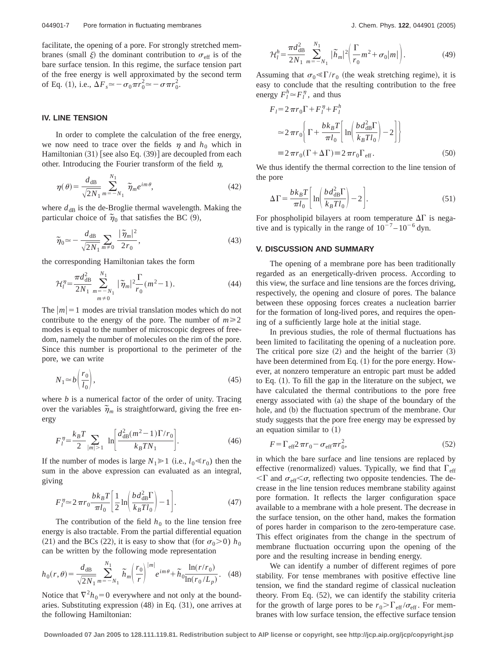facilitate, the opening of a pore. For strongly stretched membranes (small  $\xi$ ) the dominant contribution to  $\sigma_{\text{eff}}$  is of the bare surface tension. In this regime, the surface tension part of the free energy is well approximated by the second term of Eq. (1), i.e.,  $\Delta F_s \approx -\sigma_0 \pi r_0^2 \approx -\sigma \pi r_0^2$ .

### **IV. LINE TENSION**

In order to complete the calculation of the free energy, we now need to trace over the fields  $\eta$  and  $h_0$  which in Hamiltonian  $(31)$  [see also Eq.  $(39)$ ] are decoupled from each other. Introducing the Fourier transform of the field  $\eta$ ,

$$
\eta(\theta) = \frac{d_{\text{dB}}}{\sqrt{2N_1}} \sum_{m=-N_1}^{N_1} \widetilde{\eta}_m e^{im\theta},\tag{42}
$$

where  $d_{dB}$  is the de-Broglie thermal wavelength. Making the particular choice of  $\tilde{\eta}_0$  that satisfies the BC  $(9)$ ,

$$
\widetilde{\eta}_0 \simeq -\frac{d_{\text{dB}}}{\sqrt{2N_1}} \sum_{m \neq 0} \frac{|\widetilde{\eta}_m|^2}{2r_0},\tag{43}
$$

the corresponding Hamiltonian takes the form

$$
\mathcal{H}_l^{\eta} = \frac{\pi d_{\text{dB}}^2}{2N_1} \sum_{\substack{m = -N_1 \\ m \neq 0}}^{N_1} |\tilde{\eta}_m|^2 \frac{\Gamma}{r_0} (m^2 - 1). \tag{44}
$$

The  $|m|=1$  modes are trivial translation modes which do not contribute to the energy of the pore. The number of  $m \ge 2$ modes is equal to the number of microscopic degrees of freedom, namely the number of molecules on the rim of the pore. Since this number is proportional to the perimeter of the pore, we can write

$$
N_1 \approx b \left( \frac{r_0}{l_0} \right),\tag{45}
$$

where *b* is a numerical factor of the order of unity. Tracing over the variables  $\tilde{\eta}_m$  is straightforward, giving the free energy

$$
F_l^{\eta} = \frac{k_B T}{2} \sum_{|m|>1} \ln \left[ \frac{d_{\text{dB}}^2 (m^2 - 1) \Gamma / r_0}{k_B T N_1} \right]. \tag{46}
$$

If the number of modes is large  $N_1 \ge 1$  (i.e.,  $l_0 \ll r_0$ ) then the sum in the above expression can evaluated as an integral, giving

$$
F_l^{\eta} \approx 2 \pi r_0 \frac{bk_B T}{\pi l_0} \left[ \frac{1}{2} \ln \left( \frac{bd_{\text{dB}}^2 \Gamma}{k_B T l_0} \right) - 1 \right]. \tag{47}
$$

The contribution of the field  $h_0$  to the line tension free energy is also tractable. From the partial differential equation (21) and the BCs (22), it is easy to show that (for  $\sigma_0$ >0)  $h_0$ can be written by the following mode representation

$$
h_0(r,\theta) = \frac{d_{\text{dB}}}{\sqrt{2N_1}} \sum_{m=-N_1}^{N_1} \widetilde{h}_m \left(\frac{r_0}{r}\right)^{|m|} e^{im\theta} + \widetilde{h}_0 \frac{\ln(r/r_0)}{\ln(r_0/L_p)}.
$$
 (48)

Notice that  $\nabla^2 h_0 = 0$  everywhere and not only at the boundaries. Substituting expression  $(48)$  in Eq.  $(31)$ , one arrives at the following Hamiltonian:

$$
\mathcal{H}_l^h = \frac{\pi d_{\text{dB}}^2}{2N_1} \sum_{m=-N_1}^{N_1} |\tilde{h}_m|^2 \left( \frac{\Gamma}{r_0} m^2 + \sigma_0 |m| \right). \tag{49}
$$

Assuming that  $\sigma_0 \ll \Gamma/r_0$  (the weak stretching regime), it is easy to conclude that the resulting contribution to the free energy  $F_l^h \simeq F_l^\eta$ , and thus

$$
F_l = 2 \pi r_0 \Gamma + F_l^{\eta} + F_l^h
$$
  
\n
$$
\approx 2 \pi r_0 \left\{ \Gamma + \frac{bk_B T}{\pi l_0} \left[ \ln \left( \frac{bd_{\text{dB}}^2 \Gamma}{k_B T l_0} \right) - 2 \right] \right\}
$$
  
\n
$$
\equiv 2 \pi r_0 (\Gamma + \Delta \Gamma) \equiv 2 \pi r_0 \Gamma_{\text{eff}}.
$$
 (50)

We thus identify the thermal correction to the line tension of the pore

$$
\Delta \Gamma = \frac{bk_B T}{\pi l_0} \left[ \ln \left( \frac{bd_{\text{dB}}^2 \Gamma}{k_B T l_0} \right) - 2 \right].
$$
 (51)

For phospholipid bilayers at room temperature  $\Delta\Gamma$  is negative and is typically in the range of  $10^{-7} - 10^{-6}$  dyn.

#### **V. DISCUSSION AND SUMMARY**

The opening of a membrane pore has been traditionally regarded as an energetically-driven process. According to this view, the surface and line tensions are the forces driving, respectively, the opening and closure of pores. The balance between these opposing forces creates a nucleation barrier for the formation of long-lived pores, and requires the opening of a sufficiently large hole at the initial stage.

In previous studies, the role of thermal fluctuations has been limited to facilitating the opening of a nucleation pore. The critical pore size  $(2)$  and the height of the barrier  $(3)$ have been determined from Eq.  $(1)$  for the pore energy. However, at nonzero temperature an entropic part must be added to Eq.  $(1)$ . To fill the gap in the literature on the subject, we have calculated the thermal contributions to the pore free energy associated with  $(a)$  the shape of the boundary of the hole, and (b) the fluctuation spectrum of the membrane. Our study suggests that the pore free energy may be expressed by an equation similar to  $(1)$ 

$$
F = \Gamma_{\rm eff} 2 \pi r_0 - \sigma_{\rm eff} \pi r_0^2,\tag{52}
$$

in which the bare surface and line tensions are replaced by effective (renormalized) values. Typically, we find that  $\Gamma_{\text{eff}}$  $\langle \Gamma \rangle$  and  $\sigma_{\text{eff}} \langle \sigma \rangle$ , reflecting two opposite tendencies. The decrease in the line tension reduces membrane stability against pore formation. It reflects the larger configuration space available to a membrane with a hole present. The decrease in the surface tension, on the other hand, makes the formation of pores harder in comparison to the zero-temperature case. This effect originates from the change in the spectrum of membrane fluctuation occurring upon the opening of the pore and the resulting increase in bending energy.

We can identify a number of different regimes of pore stability. For tense membranes with positive effective line tension, we find the standard regime of classical nucleation theory. From Eq.  $(52)$ , we can identify the stability criteria for the growth of large pores to be  $r_0 > \Gamma_{\text{eff}} / \sigma_{\text{eff}}$ . For membranes with low surface tension, the effective surface tension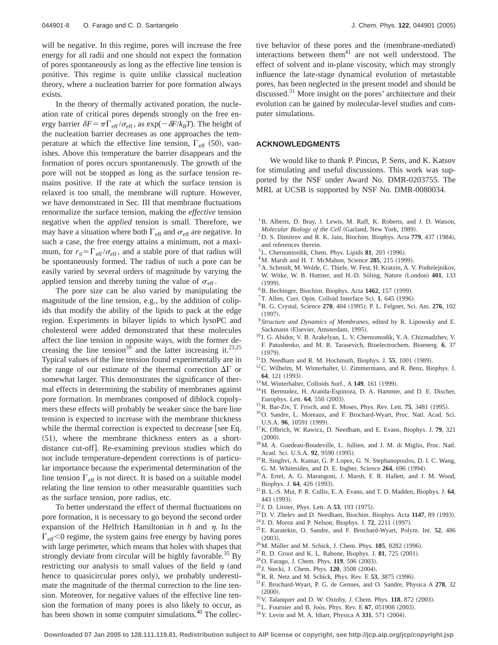will be negative. In this regime, pores will increase the free energy for all radii and one should not expect the formation of pores spontaneously as long as the effective line tension is positive. This regime is quite unlike classical nucleation theory, where a nucleation barrier for pore formation always exists.

In the theory of thermally activated poration, the nucleation rate of critical pores depends strongly on the free energy barrier  $\delta F = \pi \Gamma_{\text{eff}} / \sigma_{\text{eff}}$ , as exp( $-\delta F / k_B T$ ). The height of the nucleation barrier decreases as one approaches the temperature at which the effective line tension,  $\Gamma_{\text{eff}}$  (50), vanishes. Above this temperature the barrier disappears and the formation of pores occurs spontaneously. The growth of the pore will not be stopped as long as the surface tension remains positive. If the rate at which the surface tension is relaxed is too small, the membrane will rupture. However, we have demonstrated in Sec. III that membrane fluctuations renormalize the surface tension, making the *effective* tension negative when the *applied* tension is small. Therefore, we may have a situation where both  $\Gamma_{\text{eff}}$  and  $\sigma_{\text{eff}}$  are negative. In such a case, the free energy attains a minimum, not a maximum, for  $r_0 = \Gamma_{\text{eff}} / \sigma_{\text{eff}}$ , and a stable pore of that radius will be spontaneously formed. The radius of such a pore can be easily varied by several orders of magnitude by varying the applied tension and thereby tuning the value of  $\sigma_{\text{eff}}$ .

The pore size can be also varied by manipulating the magnitude of the line tension, e.g., by the addition of colipids that modify the ability of the lipids to pack at the edge region. Experiments in bilayer lipids to which lysoPC and cholesterol were added demonstrated that these molecules affect the line tension in opposite ways, with the former decreasing the line tension<sup>39</sup> and the latter increasing it.<sup>23,25</sup> Typical values of the line tension found experimentally are in the range of our estimate of the thermal correction  $\Delta\Gamma$  or somewhat larger. This demonstrates the significance of thermal effects in determining the stability of membranes against pore formation. In membranes composed of diblock copolymers these effects will probably be weaker since the bare line tension is expected to increase with the membrane thickness while the thermal correction is expected to decrease [see Eq.  $(51)$ , where the membrane thickness enters as a shortdistance cut-off. Re-examining previous studies which do not include temperature-dependent corrections is of particular importance because the experimental determination of the line tension  $\Gamma_{\text{eff}}$  is not direct. It is based on a suitable model relating the line tension to other measurable quantities such as the surface tension, pore radius, etc.

To better understand the effect of thermal fluctuations on pore formation, it is necessary to go beyond the second order expansion of the Helfrich Hamiltonian in  $h$  and  $\eta$ . In the  $\Gamma_{\text{eff}}$  < 0 regime, the system gains free energy by having pores with large perimeter, which means that holes with shapes that strongly deviate from circular will be highly favorable.<sup>35</sup> By restricting our analysis to small values of the field  $\eta$  (and hence to quasicircular pores only), we probably underestimate the magnitude of the thermal correction to the line tension. Moreover, for negative values of the effective line tension the formation of many pores is also likely to occur, as has been shown in some computer simulations.<sup>40</sup> The collective behavior of these pores and the (membrane-mediated) interactions between them $41$  are not well understood. The effect of solvent and in-plane viscosity, which may strongly influence the late-stage dynamical evolution of metastable pores, has been neglected in the present model and should be discussed.<sup>31</sup> More insight on the pores' architecture and their evolution can be gained by molecular-level studies and computer simulations.

#### **ACKNOWLEDGMENTS**

We would like to thank P. Pincus, P. Sens, and K. Katsov for stimulating and useful discussions. This work was supported by the NSF under Award No. DMR-0203755. The MRL at UCSB is supported by NSF No. DMR-0080034.

- <sup>1</sup>B. Alberts, D. Bray, J. Lewis, M. Raff, K. Roberts, and J. D. Watson, *Molecular Biology of the Cell* (Garland, New York, 1989).
- <sup>2</sup>D. S. Dimitrov and R. K. Jain, Biochim. Biophys. Acta 779, 437 (1984), and references therein.
- $3$ L. Chernomordik, Chem. Phys. Lipids  $81$ , 203 (1996).
- <sup>4</sup>M. Marsh and H. T. McMahon, Science 285, 215 (1999).
- 5A. Schmidt, M. Wolde, C. Thiele, W. Fest, H. Kratzin, A. V. Podtelejnikov, W. Witke, W. B. Huttner, and H.-D. Söling, Nature (London) 401, 133  $(1999).$
- <sup>6</sup>B. Bechinger, Biochim. Biophys. Acta 1462, 157 (1999).
- <sup>7</sup>T. Allen, Curr. Opin. Colloid Interface Sci. 1, 645 (1996).
- <sup>8</sup> R. G. Crystal, Science 270, 404 (1995); P. L. Felgner, Sci. Am. 276, 102  $(1997).$
- <sup>9</sup> *Structure and Dynamics of Membranes*, edited by R. Lipowsky and E. Sackmann (Elsevier, Amsterdam, 1995).
- <sup>10</sup> I. G. Abidor, V. B. Arakelyan, L. V. Chernomodik, Y. A. Chizmadzhev, V. F. Patushenko, and M. R. Tarasevich, Bioelectrochem. Bioenerg. **6**, 37  $(1979).$
- $11\,\text{D}$ . Needham and R. M. Hochmuth, Biophys. J. 55, 1001 (1989).
- 12C. Wilhelm, M. Winterhalter, U. Zimmermann, and R. Benz, Biophys. J. **64.** 121 (1993).
- <sup>13</sup>M. Winterhalter, Colloids Surf., A **149**, 161 (1999).
- <sup>14</sup>H. Bermudez, H. Aranda-Espinoza, D. A. Hammer, and D. E. Discher, Europhys. Lett. **64**, 550 (2003).
- <sup>15</sup>R. Bar-Ziv, T. Frisch, and E. Moses, Phys. Rev. Lett. **75**, 3481 (1995).
- 16O. Sandre, L. Moreaux, and F. Brochard-Wyart, Proc. Natl. Acad. Sci. U.S.A. 96, 10591 (1999).
- 17K. Olbrich, W. Rawicz, D. Needham, and E. Evans, Biophys. J. **79**, 321  $(2000)$ .
- 18M. A. Guedeau-Boudeville, L. Jullien, and J. M. di Miglio, Proc. Natl. Acad. Sci. U.S.A. 92, 9590 (1995).
- 19R. Singhvi, A. Kumar, G. P. Lopez, G. N. Stephanopoulos, D. I. C. Wang, G. M. Whitesides, and D. E. Ingber, Science 264, 696 (1994).
- 20A. Ertel, A. G. Marangoni, J. Marsh, F. R. Hallett, and J. M. Wood, Biophys. J. 64, 426 (1993).
- 21B. L.-S. Mui, P. R. Cullis, E. A. Evans, and T. D. Madden, Biophys. J. **64**, 443 (1993).
- <sup>22</sup> J. D. Litster, Phys. Lett. A 53, 193 (1975).
- <sup>23</sup>D. V. Zhelev and D. Needham, Biochim. Biophys. Acta **1147**, 89 (1993).
- <sup>24</sup> J. D. Moroz and P. Nelson, Biophys. J. **72**, 2211 (1997).
- 25E. Karatekin, O. Sandre, and F. Brochard-Wyart, Polym. Int. **52**, 486  $(2003).$
- <sup>26</sup>M. Müller and M. Schick, J. Chem. Phys. **105**, 8282 (1996).
- $27$  R. D. Groot and K. L. Rabone, Biophys. J. 81, 725  $(2001)$ .
- <sup>28</sup> O. Farago, J. Chem. Phys. **119**, 596 (2003).
- <sup>29</sup> J. Stecki, J. Chem. Phys. **120**, 3508 (2004).
- <sup>30</sup> R. R. Netz and M. Schick, Phys. Rev. E 53, 3875 (1996).
- 31F. Brochard-Wyart, P. G. de Gennes, and O. Sandre, Physica A **278**, 32  $(2000).$
- $32$  V. Talanquer and D. W. Oxtoby, J. Chem. Phys. **118**, 872 (2003).
- <sup>33</sup>L. Fournier and B. Joós, Phys. Rev. E **67**, 051908 (2003).
- $34$  Y. Levin and M. A. Idiart, Physica A 331, 571  $(2004)$ .